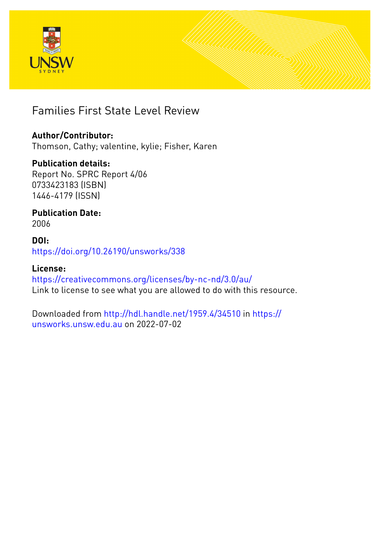



# Families First State Level Review

# **Author/Contributor:**

Thomson, Cathy; valentine, kylie; Fisher, Karen

# **Publication details:**

Report No. SPRC Report 4/06 0733423183 (ISBN) 1446-4179 (ISSN)

# **Publication Date:** 2006

**DOI:** [https://doi.org/10.26190/unsworks/338](http://dx.doi.org/https://doi.org/10.26190/unsworks/338)

# **License:**

<https://creativecommons.org/licenses/by-nc-nd/3.0/au/> Link to license to see what you are allowed to do with this resource.

Downloaded from <http://hdl.handle.net/1959.4/34510> in [https://](https://unsworks.unsw.edu.au) [unsworks.unsw.edu.au](https://unsworks.unsw.edu.au) on 2022-07-02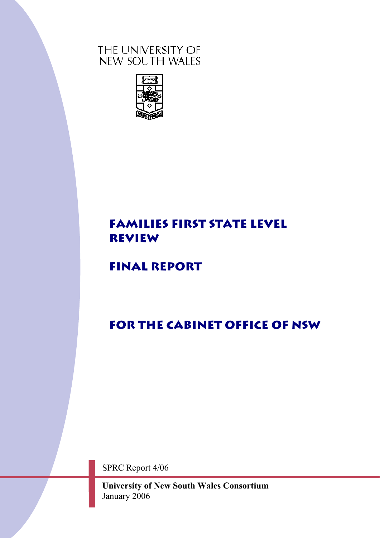# THE UNIVERSITY OF NEW SOUTH WALES



# **FAMILIES FIRST STATE LEVEL REVIEW**

# **FINAL REPORT**

# **For The Cabinet Office of NSW**

SPRC Report 4/06

**University of New South Wales Consortium** January 2006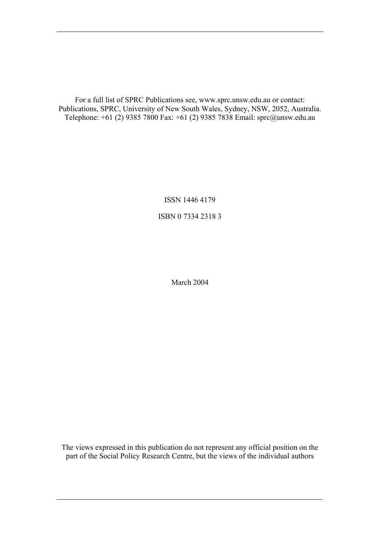For a full list of SPRC Publications see, www.sprc.unsw.edu.au or contact: Publications, SPRC, University of New South Wales, Sydney, NSW, 2052, Australia. Telephone: +61 (2) 9385 7800 Fax: +61 (2) 9385 7838 Email: sprc@unsw.edu.au

> ISSN 1446 4179 ISBN 0 7334 2318 3

> > March 2004

The views expressed in this publication do not represent any official position on the part of the Social Policy Research Centre, but the views of the individual authors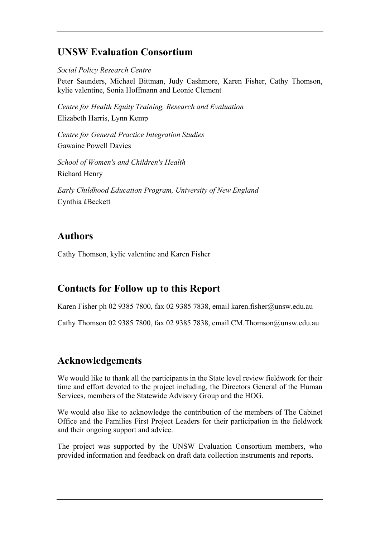# **UNSW Evaluation Consortium**

*Social Policy Research Centre*

Peter Saunders, Michael Bittman, Judy Cashmore, Karen Fisher, Cathy Thomson, kylie valentine, Sonia Hoffmann and Leonie Clement

*Centre for Health Equity Training, Research and Evaluation*  Elizabeth Harris, Lynn Kemp

*Centre for General Practice Integration Studies*  Gawaine Powell Davies

*School of Women's and Children's Health*  Richard Henry

*Early Childhood Education Program, University of New England*  Cynthia àBeckett

# **Authors**

Cathy Thomson, kylie valentine and Karen Fisher

# **Contacts for Follow up to this Report**

Karen Fisher ph 02 9385 7800, fax 02 9385 7838, email karen.fisher@unsw.edu.au

Cathy Thomson 02 9385 7800, fax 02 9385 7838, email CM.Thomson@unsw.edu.au

# **Acknowledgements**

We would like to thank all the participants in the State level review fieldwork for their time and effort devoted to the project including, the Directors General of the Human Services, members of the Statewide Advisory Group and the HOG.

We would also like to acknowledge the contribution of the members of The Cabinet Office and the Families First Project Leaders for their participation in the fieldwork and their ongoing support and advice.

The project was supported by the UNSW Evaluation Consortium members, who provided information and feedback on draft data collection instruments and reports.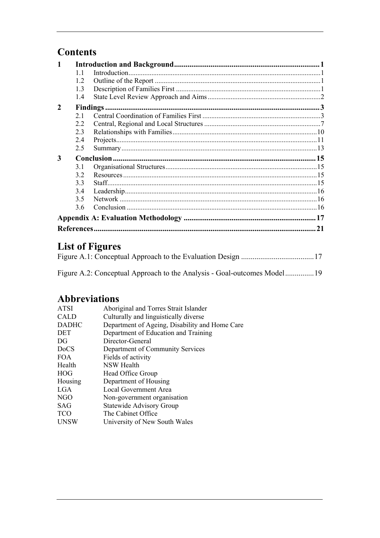# **Contents**

|                | 11  |           |  |  |  |
|----------------|-----|-----------|--|--|--|
|                | 12  |           |  |  |  |
|                | 1.3 |           |  |  |  |
|                | 1.4 |           |  |  |  |
| $\mathfrak{D}$ |     | Findings. |  |  |  |
|                | 2.1 |           |  |  |  |
|                | 22  |           |  |  |  |
|                | 2.3 |           |  |  |  |
|                | 2.4 |           |  |  |  |
|                | 2.5 |           |  |  |  |
| 3              |     |           |  |  |  |
|                | 3.1 |           |  |  |  |
|                | 3.2 |           |  |  |  |
|                | 33  |           |  |  |  |
|                | 3.4 |           |  |  |  |
|                | 3.5 |           |  |  |  |
|                | 3.6 |           |  |  |  |
|                |     |           |  |  |  |
| 21             |     |           |  |  |  |

# **List of Figures**

| Figure A.2: Conceptual Approach to the Analysis - Goal-outcomes Model 19 |  |
|--------------------------------------------------------------------------|--|

# **Abbreviations**

| <b>ATSI</b>  | Aboriginal and Torres Strait Islander          |
|--------------|------------------------------------------------|
| <b>CALD</b>  | Culturally and linguistically diverse          |
| <b>DADHC</b> | Department of Ageing, Disability and Home Care |
| <b>DET</b>   | Department of Education and Training           |
| DG           | Director-General                               |
| <b>DoCS</b>  | Department of Community Services               |
| <b>FOA</b>   | Fields of activity                             |
| Health       | NSW Health                                     |
| <b>HOG</b>   | Head Office Group                              |
| Housing      | Department of Housing                          |
| LGA          | Local Government Area                          |
| NGO          | Non-government organisation                    |
| <b>SAG</b>   | <b>Statewide Advisory Group</b>                |
| <b>TCO</b>   | The Cabinet Office                             |
| <b>UNSW</b>  | University of New South Wales                  |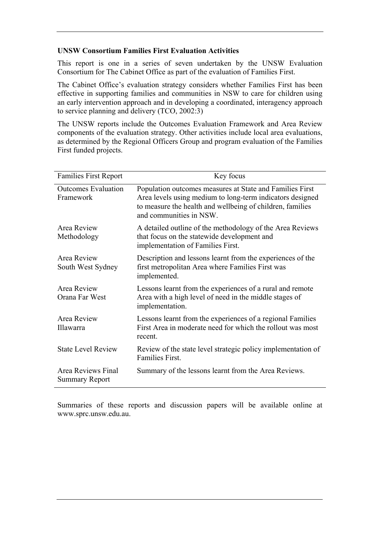#### **UNSW Consortium Families First Evaluation Activities**

This report is one in a series of seven undertaken by the UNSW Evaluation Consortium for The Cabinet Office as part of the evaluation of Families First.

The Cabinet Office's evaluation strategy considers whether Families First has been effective in supporting families and communities in NSW to care for children using an early intervention approach and in developing a coordinated, interagency approach to service planning and delivery (TCO, 2002:3)

The UNSW reports include the Outcomes Evaluation Framework and Area Review components of the evaluation strategy. Other activities include local area evaluations, as determined by the Regional Officers Group and program evaluation of the Families First funded projects.

| <b>Families First Report</b>                | Key focus                                                                                                                                                                                                     |  |  |  |
|---------------------------------------------|---------------------------------------------------------------------------------------------------------------------------------------------------------------------------------------------------------------|--|--|--|
| <b>Outcomes Evaluation</b><br>Framework     | Population outcomes measures at State and Families First<br>Area levels using medium to long-term indicators designed<br>to measure the health and wellbeing of children, families<br>and communities in NSW. |  |  |  |
| Area Review<br>Methodology                  | A detailed outline of the methodology of the Area Reviews<br>that focus on the statewide development and<br>implementation of Families First.                                                                 |  |  |  |
| Area Review<br>South West Sydney            | Description and lessons learnt from the experiences of the<br>first metropolitan Area where Families First was<br>implemented.                                                                                |  |  |  |
| Area Review<br>Orana Far West               | Lessons learnt from the experiences of a rural and remote<br>Area with a high level of need in the middle stages of<br>implementation.                                                                        |  |  |  |
| Area Review<br>Illawarra                    | Lessons learnt from the experiences of a regional Families<br>First Area in moderate need for which the rollout was most<br>recent.                                                                           |  |  |  |
| <b>State Level Review</b>                   | Review of the state level strategic policy implementation of<br><b>Families First.</b>                                                                                                                        |  |  |  |
| Area Reviews Final<br><b>Summary Report</b> | Summary of the lessons learnt from the Area Reviews.                                                                                                                                                          |  |  |  |

Summaries of these reports and discussion papers will be available online at www.sprc.unsw.edu.au.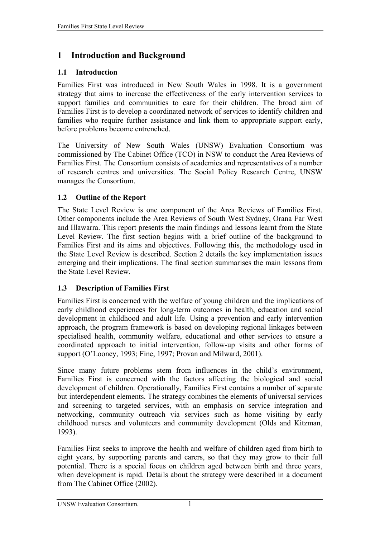# <span id="page-6-0"></span>**1 Introduction and Background**

### **1.1 Introduction**

Families First was introduced in New South Wales in 1998. It is a government strategy that aims to increase the effectiveness of the early intervention services to support families and communities to care for their children. The broad aim of Families First is to develop a coordinated network of services to identify children and families who require further assistance and link them to appropriate support early, before problems become entrenched.

The University of New South Wales (UNSW) Evaluation Consortium was commissioned by The Cabinet Office (TCO) in NSW to conduct the Area Reviews of Families First. The Consortium consists of academics and representatives of a number of research centres and universities. The Social Policy Research Centre, UNSW manages the Consortium.

### **1.2 Outline of the Report**

The State Level Review is one component of the Area Reviews of Families First. Other components include the Area Reviews of South West Sydney, Orana Far West and Illawarra. This report presents the main findings and lessons learnt from the State Level Review. The first section begins with a brief outline of the background to Families First and its aims and objectives. Following this, the methodology used in the State Level Review is described. Section 2 details the key implementation issues emerging and their implications. The final section summarises the main lessons from the State Level Review.

### **1.3 Description of Families First**

Families First is concerned with the welfare of young children and the implications of early childhood experiences for long-term outcomes in health, education and social development in childhood and adult life. Using a prevention and early intervention approach, the program framework is based on developing regional linkages between specialised health, community welfare, educational and other services to ensure a coordinated approach to initial intervention, follow-up visits and other forms of support (O'Looney, 1993; Fine, 1997; Provan and Milward, 2001).

Since many future problems stem from influences in the child's environment, Families First is concerned with the factors affecting the biological and social development of children. Operationally, Families First contains a number of separate but interdependent elements. The strategy combines the elements of universal services and screening to targeted services, with an emphasis on service integration and networking, community outreach via services such as home visiting by early childhood nurses and volunteers and community development (Olds and Kitzman, 1993).

Families First seeks to improve the health and welfare of children aged from birth to eight years, by supporting parents and carers, so that they may grow to their full potential. There is a special focus on children aged between birth and three years, when development is rapid. Details about the strategy were described in a document from The Cabinet Office (2002).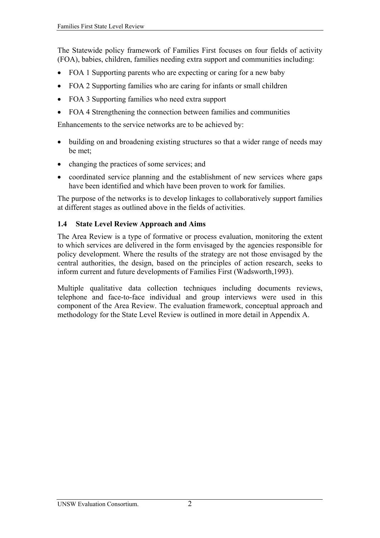<span id="page-7-0"></span>The Statewide policy framework of Families First focuses on four fields of activity (FOA), babies, children, families needing extra support and communities including:

- FOA 1 Supporting parents who are expecting or caring for a new baby
- FOA 2 Supporting families who are caring for infants or small children
- FOA 3 Supporting families who need extra support
- FOA 4 Strengthening the connection between families and communities

Enhancements to the service networks are to be achieved by:

- building on and broadening existing structures so that a wider range of needs may be met;
- changing the practices of some services; and
- coordinated service planning and the establishment of new services where gaps have been identified and which have been proven to work for families.

The purpose of the networks is to develop linkages to collaboratively support families at different stages as outlined above in the fields of activities.

#### **1.4 State Level Review Approach and Aims**

The Area Review is a type of formative or process evaluation, monitoring the extent to which services are delivered in the form envisaged by the agencies responsible for policy development. Where the results of the strategy are not those envisaged by the central authorities, the design, based on the principles of action research, seeks to inform current and future developments of Families First (Wadsworth,1993).

Multiple qualitative data collection techniques including documents reviews, telephone and face-to-face individual and group interviews were used in this component of the Area Review. The evaluation framework, conceptual approach and methodology for the State Level Review is outlined in more detail in Appendix A.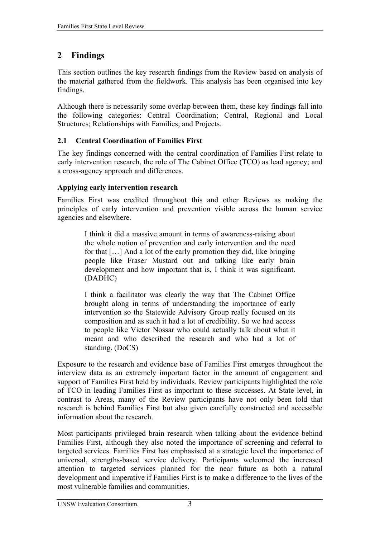# <span id="page-8-0"></span>**2 Findings**

This section outlines the key research findings from the Review based on analysis of the material gathered from the fieldwork. This analysis has been organised into key findings.

Although there is necessarily some overlap between them, these key findings fall into the following categories: Central Coordination; Central, Regional and Local Structures; Relationships with Families; and Projects.

## **2.1 Central Coordination of Families First**

The key findings concerned with the central coordination of Families First relate to early intervention research, the role of The Cabinet Office (TCO) as lead agency; and a cross-agency approach and differences.

## **Applying early intervention research**

Families First was credited throughout this and other Reviews as making the principles of early intervention and prevention visible across the human service agencies and elsewhere.

> I think it did a massive amount in terms of awareness-raising about the whole notion of prevention and early intervention and the need for that […] And a lot of the early promotion they did, like bringing people like Fraser Mustard out and talking like early brain development and how important that is, I think it was significant. (DADHC)

> I think a facilitator was clearly the way that The Cabinet Office brought along in terms of understanding the importance of early intervention so the Statewide Advisory Group really focused on its composition and as such it had a lot of credibility. So we had access to people like Victor Nossar who could actually talk about what it meant and who described the research and who had a lot of standing. (DoCS)

Exposure to the research and evidence base of Families First emerges throughout the interview data as an extremely important factor in the amount of engagement and support of Families First held by individuals. Review participants highlighted the role of TCO in leading Families First as important to these successes. At State level, in contrast to Areas, many of the Review participants have not only been told that research is behind Families First but also given carefully constructed and accessible information about the research.

Most participants privileged brain research when talking about the evidence behind Families First, although they also noted the importance of screening and referral to targeted services. Families First has emphasised at a strategic level the importance of universal, strengths-based service delivery. Participants welcomed the increased attention to targeted services planned for the near future as both a natural development and imperative if Families First is to make a difference to the lives of the most vulnerable families and communities.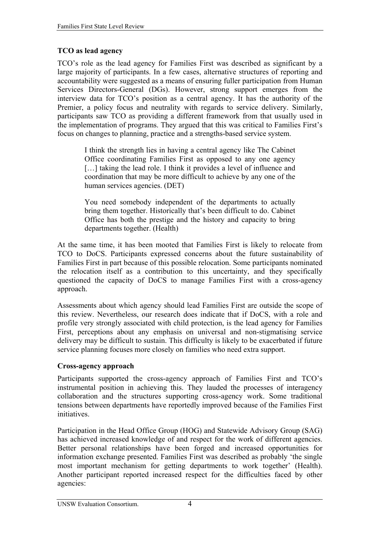### **TCO as lead agency**

TCO's role as the lead agency for Families First was described as significant by a large majority of participants. In a few cases, alternative structures of reporting and accountability were suggested as a means of ensuring fuller participation from Human Services Directors-General (DGs). However, strong support emerges from the interview data for TCO's position as a central agency. It has the authority of the Premier, a policy focus and neutrality with regards to service delivery. Similarly, participants saw TCO as providing a different framework from that usually used in the implementation of programs. They argued that this was critical to Families First's focus on changes to planning, practice and a strengths-based service system.

I think the strength lies in having a central agency like The Cabinet Office coordinating Families First as opposed to any one agency [...] taking the lead role. I think it provides a level of influence and coordination that may be more difficult to achieve by any one of the human services agencies. (DET)

You need somebody independent of the departments to actually bring them together. Historically that's been difficult to do. Cabinet Office has both the prestige and the history and capacity to bring departments together. (Health)

At the same time, it has been mooted that Families First is likely to relocate from TCO to DoCS. Participants expressed concerns about the future sustainability of Families First in part because of this possible relocation. Some participants nominated the relocation itself as a contribution to this uncertainty, and they specifically questioned the capacity of DoCS to manage Families First with a cross-agency approach.

Assessments about which agency should lead Families First are outside the scope of this review. Nevertheless, our research does indicate that if DoCS, with a role and profile very strongly associated with child protection, is the lead agency for Families First, perceptions about any emphasis on universal and non-stigmatising service delivery may be difficult to sustain. This difficulty is likely to be exacerbated if future service planning focuses more closely on families who need extra support.

#### **Cross-agency approach**

Participants supported the cross-agency approach of Families First and TCO's instrumental position in achieving this. They lauded the processes of interagency collaboration and the structures supporting cross-agency work. Some traditional tensions between departments have reportedly improved because of the Families First initiatives.

Participation in the Head Office Group (HOG) and Statewide Advisory Group (SAG) has achieved increased knowledge of and respect for the work of different agencies. Better personal relationships have been forged and increased opportunities for information exchange presented. Families First was described as probably 'the single most important mechanism for getting departments to work together' (Health). Another participant reported increased respect for the difficulties faced by other agencies: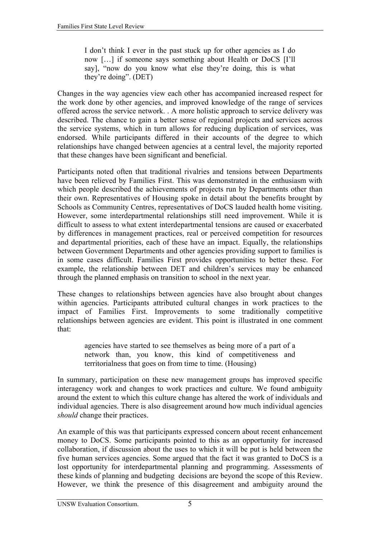I don't think I ever in the past stuck up for other agencies as I do now […] if someone says something about Health or DoCS [I'll say], "now do you know what else they're doing, this is what they're doing". (DET)

Changes in the way agencies view each other has accompanied increased respect for the work done by other agencies, and improved knowledge of the range of services offered across the service network. . A more holistic approach to service delivery was described. The chance to gain a better sense of regional projects and services across the service systems, which in turn allows for reducing duplication of services, was endorsed. While participants differed in their accounts of the degree to which relationships have changed between agencies at a central level, the majority reported that these changes have been significant and beneficial.

Participants noted often that traditional rivalries and tensions between Departments have been relieved by Families First. This was demonstrated in the enthusiasm with which people described the achievements of projects run by Departments other than their own. Representatives of Housing spoke in detail about the benefits brought by Schools as Community Centres, representatives of DoCS lauded health home visiting. However, some interdepartmental relationships still need improvement. While it is difficult to assess to what extent interdepartmental tensions are caused or exacerbated by differences in management practices, real or perceived competition for resources and departmental priorities, each of these have an impact. Equally, the relationships between Government Departments and other agencies providing support to families is in some cases difficult. Families First provides opportunities to better these. For example, the relationship between DET and children's services may be enhanced through the planned emphasis on transition to school in the next year.

These changes to relationships between agencies have also brought about changes within agencies. Participants attributed cultural changes in work practices to the impact of Families First. Improvements to some traditionally competitive relationships between agencies are evident. This point is illustrated in one comment that:

> agencies have started to see themselves as being more of a part of a network than, you know, this kind of competitiveness and territorialness that goes on from time to time. (Housing)

In summary, participation on these new management groups has improved specific interagency work and changes to work practices and culture. We found ambiguity around the extent to which this culture change has altered the work of individuals and individual agencies. There is also disagreement around how much individual agencies *should* change their practices.

An example of this was that participants expressed concern about recent enhancement money to DoCS. Some participants pointed to this as an opportunity for increased collaboration, if discussion about the uses to which it will be put is held between the five human services agencies. Some argued that the fact it was granted to DoCS is a lost opportunity for interdepartmental planning and programming. Assessments of these kinds of planning and budgeting decisions are beyond the scope of this Review. However, we think the presence of this disagreement and ambiguity around the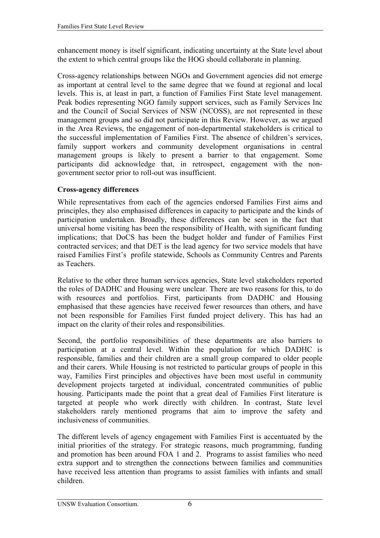enhancement money is itself significant, indicating uncertainty at the State level about the extent to which central groups like the HOG should collaborate in planning.

Cross-agency relationships between NGOs and Government agencies did not emerge as important at central level to the same degree that we found at regional and local levels. This is, at least in part, a function of Families First State level management. Peak bodies representing NGO family support services, such as Family Services Inc and the Council of Social Services of NSW (NCOSS), are not represented in these management groups and so did not participate in this Review. However, as we argued in the Area Reviews, the engagement of non-departmental stakeholders is critical to the successful implementation of Families First. The absence of children's services, family support workers and community development organisations in central management groups is likely to present a barrier to that engagement. Some participants did acknowledge that, in retrospect, engagement with the nongovernment sector prior to roll-out was insufficient.

### **Cross-agency differences**

While representatives from each of the agencies endorsed Families First aims and principles, they also emphasised differences in capacity to participate and the kinds of participation undertaken. Broadly, these differences can be seen in the fact that universal home visiting has been the responsibility of Health, with significant funding implications; that DoCS has been the budget holder and funder of Families First contracted services; and that DET is the lead agency for two service models that have raised Families First's profile statewide, Schools as Community Centres and Parents as Teachers.

Relative to the other three human services agencies, State level stakeholders reported the roles of DADHC and Housing were unclear. There are two reasons for this, to do with resources and portfolios. First, participants from DADHC and Housing emphasised that these agencies have received fewer resources than others, and have not been responsible for Families First funded project delivery. This has had an impact on the clarity of their roles and responsibilities.

Second, the portfolio responsibilities of these departments are also barriers to participation at a central level. Within the population for which DADHC is responsible, families and their children are a small group compared to older people and their carers. While Housing is not restricted to particular groups of people in this way, Families First principles and objectives have been most useful in community development projects targeted at individual, concentrated communities of public housing. Participants made the point that a great deal of Families First literature is targeted at people who work directly with children. In contrast, State level stakeholders rarely mentioned programs that aim to improve the safety and inclusiveness of communities.

The different levels of agency engagement with Families First is accentuated by the initial priorities of the strategy. For strategic reasons, much programming, funding and promotion has been around FOA 1 and 2. Programs to assist families who need extra support and to strengthen the connections between families and communities have received less attention than programs to assist families with infants and small children.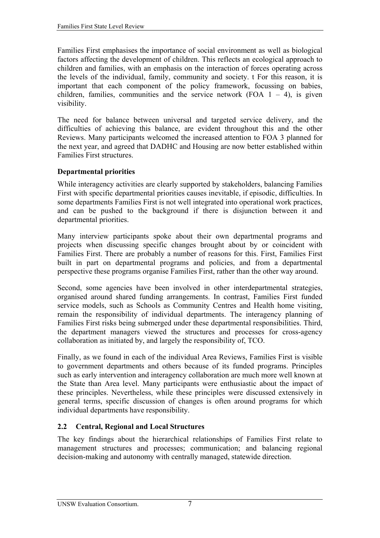<span id="page-12-0"></span>Families First emphasises the importance of social environment as well as biological factors affecting the development of children. This reflects an ecological approach to children and families, with an emphasis on the interaction of forces operating across the levels of the individual, family, community and society. t For this reason, it is important that each component of the policy framework, focussing on babies, children, families, communities and the service network (FOA  $1 - 4$ ), is given visibility.

The need for balance between universal and targeted service delivery, and the difficulties of achieving this balance, are evident throughout this and the other Reviews. Many participants welcomed the increased attention to FOA 3 planned for the next year, and agreed that DADHC and Housing are now better established within Families First structures.

### **Departmental priorities**

While interagency activities are clearly supported by stakeholders, balancing Families First with specific departmental priorities causes inevitable, if episodic, difficulties. In some departments Families First is not well integrated into operational work practices, and can be pushed to the background if there is disjunction between it and departmental priorities.

Many interview participants spoke about their own departmental programs and projects when discussing specific changes brought about by or coincident with Families First. There are probably a number of reasons for this. First, Families First built in part on departmental programs and policies, and from a departmental perspective these programs organise Families First, rather than the other way around.

Second, some agencies have been involved in other interdepartmental strategies, organised around shared funding arrangements. In contrast, Families First funded service models, such as Schools as Community Centres and Health home visiting, remain the responsibility of individual departments. The interagency planning of Families First risks being submerged under these departmental responsibilities. Third, the department managers viewed the structures and processes for cross-agency collaboration as initiated by, and largely the responsibility of, TCO.

Finally, as we found in each of the individual Area Reviews, Families First is visible to government departments and others because of its funded programs. Principles such as early intervention and interagency collaboration are much more well known at the State than Area level. Many participants were enthusiastic about the impact of these principles. Nevertheless, while these principles were discussed extensively in general terms, specific discussion of changes is often around programs for which individual departments have responsibility.

## **2.2 Central, Regional and Local Structures**

The key findings about the hierarchical relationships of Families First relate to management structures and processes; communication; and balancing regional decision-making and autonomy with centrally managed, statewide direction.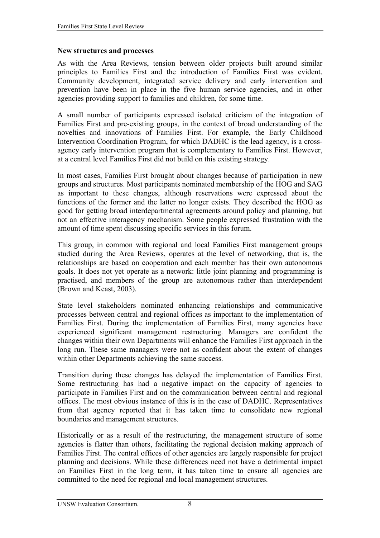#### **New structures and processes**

As with the Area Reviews, tension between older projects built around similar principles to Families First and the introduction of Families First was evident. Community development, integrated service delivery and early intervention and prevention have been in place in the five human service agencies, and in other agencies providing support to families and children, for some time.

A small number of participants expressed isolated criticism of the integration of Families First and pre-existing groups, in the context of broad understanding of the novelties and innovations of Families First. For example, the Early Childhood Intervention Coordination Program, for which DADHC is the lead agency, is a crossagency early intervention program that is complementary to Families First. However, at a central level Families First did not build on this existing strategy.

In most cases, Families First brought about changes because of participation in new groups and structures. Most participants nominated membership of the HOG and SAG as important to these changes, although reservations were expressed about the functions of the former and the latter no longer exists. They described the HOG as good for getting broad interdepartmental agreements around policy and planning, but not an effective interagency mechanism. Some people expressed frustration with the amount of time spent discussing specific services in this forum.

This group, in common with regional and local Families First management groups studied during the Area Reviews, operates at the level of networking, that is, the relationships are based on cooperation and each member has their own autonomous goals. It does not yet operate as a network: little joint planning and programming is practised, and members of the group are autonomous rather than interdependent (Brown and Keast, 2003).

State level stakeholders nominated enhancing relationships and communicative processes between central and regional offices as important to the implementation of Families First. During the implementation of Families First, many agencies have experienced significant management restructuring. Managers are confident the changes within their own Departments will enhance the Families First approach in the long run. These same managers were not as confident about the extent of changes within other Departments achieving the same success.

Transition during these changes has delayed the implementation of Families First. Some restructuring has had a negative impact on the capacity of agencies to participate in Families First and on the communication between central and regional offices. The most obvious instance of this is in the case of DADHC. Representatives from that agency reported that it has taken time to consolidate new regional boundaries and management structures.

Historically or as a result of the restructuring, the management structure of some agencies is flatter than others, facilitating the regional decision making approach of Families First. The central offices of other agencies are largely responsible for project planning and decisions. While these differences need not have a detrimental impact on Families First in the long term, it has taken time to ensure all agencies are committed to the need for regional and local management structures.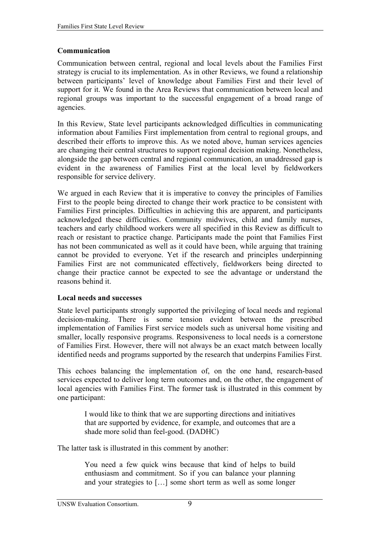#### **Communication**

Communication between central, regional and local levels about the Families First strategy is crucial to its implementation. As in other Reviews, we found a relationship between participants' level of knowledge about Families First and their level of support for it. We found in the Area Reviews that communication between local and regional groups was important to the successful engagement of a broad range of agencies.

In this Review, State level participants acknowledged difficulties in communicating information about Families First implementation from central to regional groups, and described their efforts to improve this. As we noted above, human services agencies are changing their central structures to support regional decision making. Nonetheless, alongside the gap between central and regional communication, an unaddressed gap is evident in the awareness of Families First at the local level by fieldworkers responsible for service delivery.

We argued in each Review that it is imperative to convey the principles of Families First to the people being directed to change their work practice to be consistent with Families First principles. Difficulties in achieving this are apparent, and participants acknowledged these difficulties. Community midwives, child and family nurses, teachers and early childhood workers were all specified in this Review as difficult to reach or resistant to practice change. Participants made the point that Families First has not been communicated as well as it could have been, while arguing that training cannot be provided to everyone. Yet if the research and principles underpinning Families First are not communicated effectively, fieldworkers being directed to change their practice cannot be expected to see the advantage or understand the reasons behind it.

#### **Local needs and successes**

State level participants strongly supported the privileging of local needs and regional decision-making. There is some tension evident between the prescribed implementation of Families First service models such as universal home visiting and smaller, locally responsive programs. Responsiveness to local needs is a cornerstone of Families First. However, there will not always be an exact match between locally identified needs and programs supported by the research that underpins Families First.

This echoes balancing the implementation of, on the one hand, research-based services expected to deliver long term outcomes and, on the other, the engagement of local agencies with Families First. The former task is illustrated in this comment by one participant:

> I would like to think that we are supporting directions and initiatives that are supported by evidence, for example, and outcomes that are a shade more solid than feel-good. (DADHC)

The latter task is illustrated in this comment by another:

You need a few quick wins because that kind of helps to build enthusiasm and commitment. So if you can balance your planning and your strategies to […] some short term as well as some longer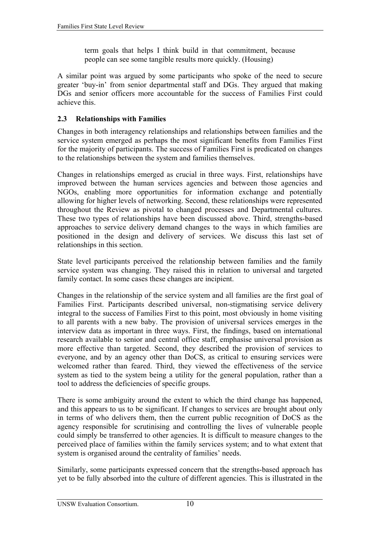term goals that helps I think build in that commitment, because people can see some tangible results more quickly. (Housing)

<span id="page-15-0"></span>A similar point was argued by some participants who spoke of the need to secure greater 'buy-in' from senior departmental staff and DGs. They argued that making DGs and senior officers more accountable for the success of Families First could achieve this.

### **2.3 Relationships with Families**

Changes in both interagency relationships and relationships between families and the service system emerged as perhaps the most significant benefits from Families First for the majority of participants. The success of Families First is predicated on changes to the relationships between the system and families themselves.

Changes in relationships emerged as crucial in three ways. First, relationships have improved between the human services agencies and between those agencies and NGOs, enabling more opportunities for information exchange and potentially allowing for higher levels of networking. Second, these relationships were represented throughout the Review as pivotal to changed processes and Departmental cultures. These two types of relationships have been discussed above. Third, strengths-based approaches to service delivery demand changes to the ways in which families are positioned in the design and delivery of services. We discuss this last set of relationships in this section.

State level participants perceived the relationship between families and the family service system was changing. They raised this in relation to universal and targeted family contact. In some cases these changes are incipient.

Changes in the relationship of the service system and all families are the first goal of Families First. Participants described universal, non-stigmatising service delivery integral to the success of Families First to this point, most obviously in home visiting to all parents with a new baby. The provision of universal services emerges in the interview data as important in three ways. First, the findings, based on international research available to senior and central office staff, emphasise universal provision as more effective than targeted. Second, they described the provision of services to everyone, and by an agency other than DoCS, as critical to ensuring services were welcomed rather than feared. Third, they viewed the effectiveness of the service system as tied to the system being a utility for the general population, rather than a tool to address the deficiencies of specific groups.

There is some ambiguity around the extent to which the third change has happened, and this appears to us to be significant. If changes to services are brought about only in terms of who delivers them, then the current public recognition of DoCS as the agency responsible for scrutinising and controlling the lives of vulnerable people could simply be transferred to other agencies. It is difficult to measure changes to the perceived place of families within the family services system; and to what extent that system is organised around the centrality of families' needs.

Similarly, some participants expressed concern that the strengths-based approach has yet to be fully absorbed into the culture of different agencies. This is illustrated in the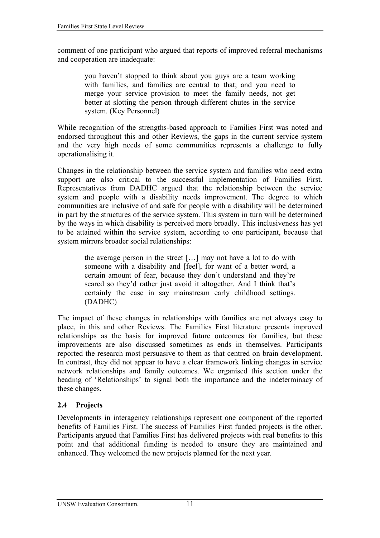<span id="page-16-0"></span>comment of one participant who argued that reports of improved referral mechanisms and cooperation are inadequate:

> you haven't stopped to think about you guys are a team working with families, and families are central to that; and you need to merge your service provision to meet the family needs, not get better at slotting the person through different chutes in the service system. (Key Personnel)

While recognition of the strengths-based approach to Families First was noted and endorsed throughout this and other Reviews, the gaps in the current service system and the very high needs of some communities represents a challenge to fully operationalising it.

Changes in the relationship between the service system and families who need extra support are also critical to the successful implementation of Families First. Representatives from DADHC argued that the relationship between the service system and people with a disability needs improvement. The degree to which communities are inclusive of and safe for people with a disability will be determined in part by the structures of the service system. This system in turn will be determined by the ways in which disability is perceived more broadly. This inclusiveness has yet to be attained within the service system, according to one participant, because that system mirrors broader social relationships:

the average person in the street […] may not have a lot to do with someone with a disability and [feel], for want of a better word, a certain amount of fear, because they don't understand and they're scared so they'd rather just avoid it altogether. And I think that's certainly the case in say mainstream early childhood settings. (DADHC)

The impact of these changes in relationships with families are not always easy to place, in this and other Reviews. The Families First literature presents improved relationships as the basis for improved future outcomes for families, but these improvements are also discussed sometimes as ends in themselves. Participants reported the research most persuasive to them as that centred on brain development. In contrast, they did not appear to have a clear framework linking changes in service network relationships and family outcomes. We organised this section under the heading of 'Relationships' to signal both the importance and the indeterminacy of these changes.

## **2.4 Projects**

Developments in interagency relationships represent one component of the reported benefits of Families First. The success of Families First funded projects is the other. Participants argued that Families First has delivered projects with real benefits to this point and that additional funding is needed to ensure they are maintained and enhanced. They welcomed the new projects planned for the next year.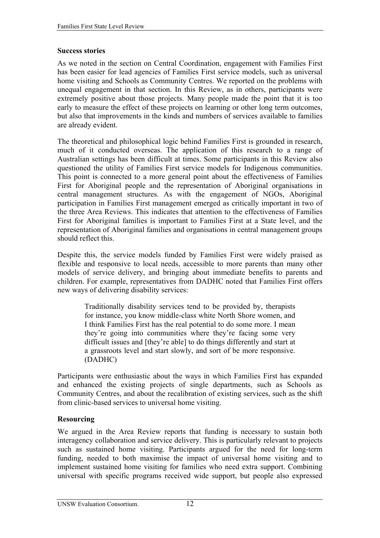#### **Success stories**

As we noted in the section on Central Coordination, engagement with Families First has been easier for lead agencies of Families First service models, such as universal home visiting and Schools as Community Centres. We reported on the problems with unequal engagement in that section. In this Review, as in others, participants were extremely positive about those projects. Many people made the point that it is too early to measure the effect of these projects on learning or other long term outcomes, but also that improvements in the kinds and numbers of services available to families are already evident.

The theoretical and philosophical logic behind Families First is grounded in research, much of it conducted overseas. The application of this research to a range of Australian settings has been difficult at times. Some participants in this Review also questioned the utility of Families First service models for Indigenous communities. This point is connected to a more general point about the effectiveness of Families First for Aboriginal people and the representation of Aboriginal organisations in central management structures. As with the engagement of NGOs, Aboriginal participation in Families First management emerged as critically important in two of the three Area Reviews. This indicates that attention to the effectiveness of Families First for Aboriginal families is important to Families First at a State level, and the representation of Aboriginal families and organisations in central management groups should reflect this.

Despite this, the service models funded by Families First were widely praised as flexible and responsive to local needs, accessible to more parents than many other models of service delivery, and bringing about immediate benefits to parents and children. For example, representatives from DADHC noted that Families First offers new ways of delivering disability services:

Traditionally disability services tend to be provided by, therapists for instance, you know middle-class white North Shore women, and I think Families First has the real potential to do some more. I mean they're going into communities where they're facing some very difficult issues and [they're able] to do things differently and start at a grassroots level and start slowly, and sort of be more responsive. (DADHC)

Participants were enthusiastic about the ways in which Families First has expanded and enhanced the existing projects of single departments, such as Schools as Community Centres, and about the recalibration of existing services, such as the shift from clinic-based services to universal home visiting.

### **Resourcing**

We argued in the Area Review reports that funding is necessary to sustain both interagency collaboration and service delivery. This is particularly relevant to projects such as sustained home visiting. Participants argued for the need for long-term funding, needed to both maximise the impact of universal home visiting and to implement sustained home visiting for families who need extra support. Combining universal with specific programs received wide support, but people also expressed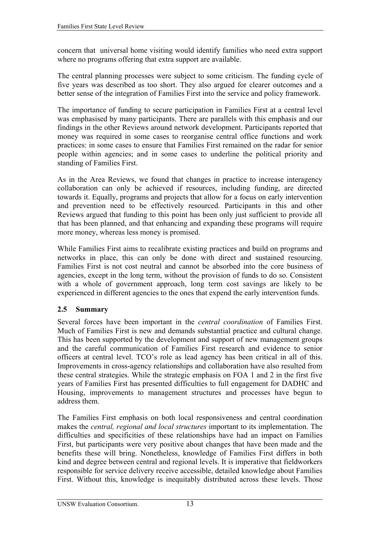<span id="page-18-0"></span>concern that universal home visiting would identify families who need extra support where no programs offering that extra support are available.

The central planning processes were subject to some criticism. The funding cycle of five years was described as too short. They also argued for clearer outcomes and a better sense of the integration of Families First into the service and policy framework.

The importance of funding to secure participation in Families First at a central level was emphasised by many participants. There are parallels with this emphasis and our findings in the other Reviews around network development. Participants reported that money was required in some cases to reorganise central office functions and work practices: in some cases to ensure that Families First remained on the radar for senior people within agencies; and in some cases to underline the political priority and standing of Families First.

As in the Area Reviews, we found that changes in practice to increase interagency collaboration can only be achieved if resources, including funding, are directed towards it. Equally, programs and projects that allow for a focus on early intervention and prevention need to be effectively resourced. Participants in this and other Reviews argued that funding to this point has been only just sufficient to provide all that has been planned, and that enhancing and expanding these programs will require more money, whereas less money is promised.

While Families First aims to recalibrate existing practices and build on programs and networks in place, this can only be done with direct and sustained resourcing. Families First is not cost neutral and cannot be absorbed into the core business of agencies, except in the long term, without the provision of funds to do so. Consistent with a whole of government approach, long term cost savings are likely to be experienced in different agencies to the ones that expend the early intervention funds.

## **2.5 Summary**

Several forces have been important in the *central coordination* of Families First. Much of Families First is new and demands substantial practice and cultural change. This has been supported by the development and support of new management groups and the careful communication of Families First research and evidence to senior officers at central level. TCO's role as lead agency has been critical in all of this. Improvements in cross-agency relationships and collaboration have also resulted from these central strategies. While the strategic emphasis on FOA 1 and 2 in the first five years of Families First has presented difficulties to full engagement for DADHC and Housing, improvements to management structures and processes have begun to address them.

The Families First emphasis on both local responsiveness and central coordination makes the *central, regional and local structures* important to its implementation. The difficulties and specificities of these relationships have had an impact on Families First, but participants were very positive about changes that have been made and the benefits these will bring. Nonetheless, knowledge of Families First differs in both kind and degree between central and regional levels. It is imperative that fieldworkers responsible for service delivery receive accessible, detailed knowledge about Families First. Without this, knowledge is inequitably distributed across these levels. Those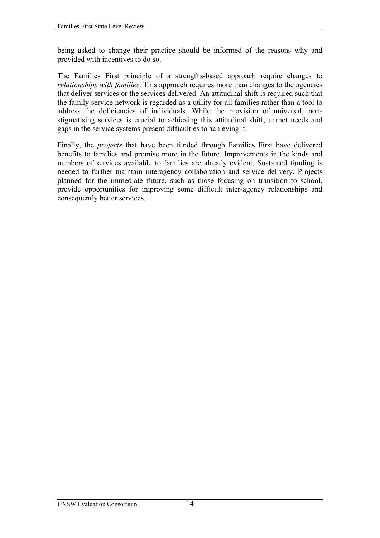being asked to change their practice should be informed of the reasons why and provided with incentives to do so.

The Families First principle of a strengths-based approach require changes to *relationships with families*. This approach requires more than changes to the agencies that deliver services or the services delivered. An attitudinal shift is required such that the family service network is regarded as a utility for all families rather than a tool to address the deficiencies of individuals. While the provision of universal, nonstigmatising services is crucial to achieving this attitudinal shift, unmet needs and gaps in the service systems present difficulties to achieving it.

Finally, the *projects* that have been funded through Families First have delivered benefits to families and promise more in the future. Improvements in the kinds and numbers of services available to families are already evident. Sustained funding is needed to further maintain interagency collaboration and service delivery. Projects planned for the immediate future, such as those focusing on transition to school, provide opportunities for improving some difficult inter-agency relationships and consequently better services.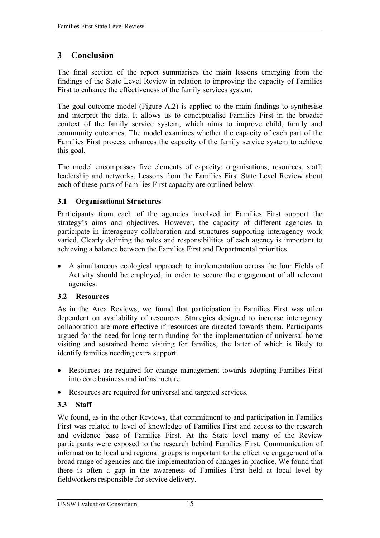# <span id="page-20-0"></span>**3 Conclusion**

The final section of the report summarises the main lessons emerging from the findings of the State Level Review in relation to improving the capacity of Families First to enhance the effectiveness of the family services system.

The goal-outcome model (Figure A.2) is applied to the main findings to synthesise and interpret the data. It allows us to conceptualise Families First in the broader context of the family service system, which aims to improve child, family and community outcomes. The model examines whether the capacity of each part of the Families First process enhances the capacity of the family service system to achieve this goal.

The model encompasses five elements of capacity: organisations, resources, staff, leadership and networks. Lessons from the Families First State Level Review about each of these parts of Families First capacity are outlined below.

## **3.1 Organisational Structures**

Participants from each of the agencies involved in Families First support the strategy's aims and objectives. However, the capacity of different agencies to participate in interagency collaboration and structures supporting interagency work varied. Clearly defining the roles and responsibilities of each agency is important to achieving a balance between the Families First and Departmental priorities.

• A simultaneous ecological approach to implementation across the four Fields of Activity should be employed, in order to secure the engagement of all relevant agencies.

## **3.2 Resources**

As in the Area Reviews, we found that participation in Families First was often dependent on availability of resources. Strategies designed to increase interagency collaboration are more effective if resources are directed towards them. Participants argued for the need for long-term funding for the implementation of universal home visiting and sustained home visiting for families, the latter of which is likely to identify families needing extra support.

- Resources are required for change management towards adopting Families First into core business and infrastructure.
- Resources are required for universal and targeted services.

# **3.3 Staff**

We found, as in the other Reviews, that commitment to and participation in Families First was related to level of knowledge of Families First and access to the research and evidence base of Families First. At the State level many of the Review participants were exposed to the research behind Families First. Communication of information to local and regional groups is important to the effective engagement of a broad range of agencies and the implementation of changes in practice. We found that there is often a gap in the awareness of Families First held at local level by fieldworkers responsible for service delivery.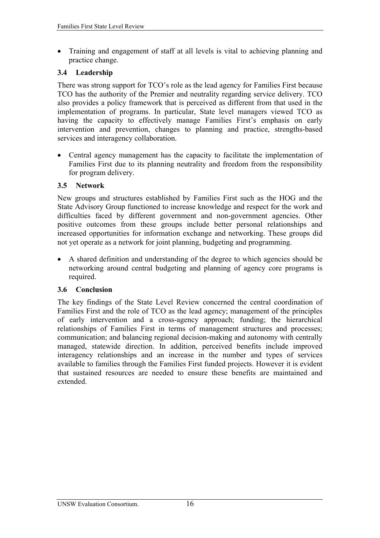<span id="page-21-0"></span>• Training and engagement of staff at all levels is vital to achieving planning and practice change.

#### **3.4 Leadership**

There was strong support for TCO's role as the lead agency for Families First because TCO has the authority of the Premier and neutrality regarding service delivery. TCO also provides a policy framework that is perceived as different from that used in the implementation of programs. In particular, State level managers viewed TCO as having the capacity to effectively manage Families First's emphasis on early intervention and prevention, changes to planning and practice, strengths-based services and interagency collaboration.

• Central agency management has the capacity to facilitate the implementation of Families First due to its planning neutrality and freedom from the responsibility for program delivery.

#### **3.5 Network**

New groups and structures established by Families First such as the HOG and the State Advisory Group functioned to increase knowledge and respect for the work and difficulties faced by different government and non-government agencies. Other positive outcomes from these groups include better personal relationships and increased opportunities for information exchange and networking. These groups did not yet operate as a network for joint planning, budgeting and programming.

• A shared definition and understanding of the degree to which agencies should be networking around central budgeting and planning of agency core programs is required.

### **3.6 Conclusion**

The key findings of the State Level Review concerned the central coordination of Families First and the role of TCO as the lead agency; management of the principles of early intervention and a cross-agency approach; funding; the hierarchical relationships of Families First in terms of management structures and processes; communication; and balancing regional decision-making and autonomy with centrally managed, statewide direction. In addition, perceived benefits include improved interagency relationships and an increase in the number and types of services available to families through the Families First funded projects. However it is evident that sustained resources are needed to ensure these benefits are maintained and extended.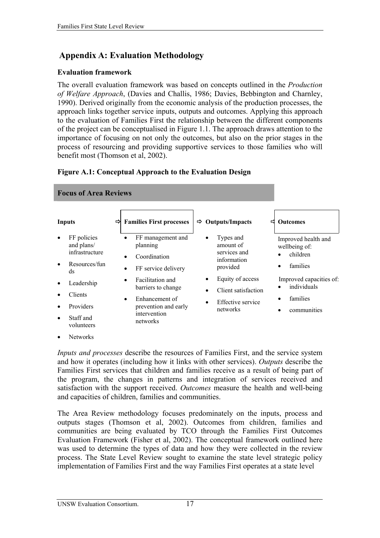# <span id="page-22-0"></span> **Appendix A: Evaluation Methodology**

#### **Evaluation framework**

The overall evaluation framework was based on concepts outlined in the *Production of Welfare Approach*, (Davies and Challis, 1986; Davies, Bebbington and Charnley, 1990). Derived originally from the economic analysis of the production processes, the approach links together service inputs, outputs and outcomes. Applying this approach to the evaluation of Families First the relationship between the different components of the project can be conceptualised in Figure 1.1. The approach draws attention to the importance of focusing on not only the outcomes, but also on the prior stages in the process of resourcing and providing supportive services to those families who will benefit most (Thomson et al, 2002).

### **Figure A.1: Conceptual Approach to the Evaluation Design**

| <b>Focus of Area Reviews</b>                       |                |                                                                    |                                                                                                                 |                                         |                                                                                |                                      |  |  |  |  |
|----------------------------------------------------|----------------|--------------------------------------------------------------------|-----------------------------------------------------------------------------------------------------------------|-----------------------------------------|--------------------------------------------------------------------------------|--------------------------------------|--|--|--|--|
| <b>Inputs</b>                                      | ⇨              | <b>Families First processes</b>                                    | ⇨                                                                                                               | <b>Outputs/Impacts</b>                  | ⊏                                                                              | <b>Outcomes</b>                      |  |  |  |  |
| FF policies<br>$\bullet$<br>and plans/             | $\bullet$      | FF management and<br>planning                                      | $\bullet$                                                                                                       | Types and<br>amount of                  |                                                                                | Improved health and<br>wellbeing of: |  |  |  |  |
| infrastructure<br>Resources/fun<br>$\bullet$<br>ds | $\bullet$<br>٠ | Coordination<br>FF service delivery                                |                                                                                                                 | services and<br>information<br>provided |                                                                                | children<br>$\bullet$<br>families    |  |  |  |  |
| Leadership<br>$\bullet$                            | $\bullet$      | Facilitation and<br>barriers to change                             | Equity of access<br>$\bullet$<br>Client satisfaction<br>$\bullet$<br>Effective service<br>$\bullet$<br>networks |                                         | Improved capacities of:<br>individuals<br>families<br>communities<br>$\bullet$ |                                      |  |  |  |  |
| Providers<br>$\bullet$<br>Staff and<br>$\bullet$   | $\bullet$      | Enhancement of<br>prevention and early<br>intervention<br>networks |                                                                                                                 |                                         |                                                                                |                                      |  |  |  |  |
| Clients<br>volunteers                              |                |                                                                    |                                                                                                                 |                                         |                                                                                |                                      |  |  |  |  |

• Networks

*Inputs and processes* describe the resources of Families First, and the service system and how it operates (including how it links with other services). *Outputs* describe the Families First services that children and families receive as a result of being part of the program, the changes in patterns and integration of services received and satisfaction with the support received. *Outcomes* measure the health and well-being and capacities of children, families and communities.

The Area Review methodology focuses predominately on the inputs, process and outputs stages (Thomson et al, 2002). Outcomes from children, families and communities are being evaluated by TCO through the Families First Outcomes Evaluation Framework (Fisher et al, 2002). The conceptual framework outlined here was used to determine the types of data and how they were collected in the review process. The State Level Review sought to examine the state level strategic policy implementation of Families First and the way Families First operates at a state level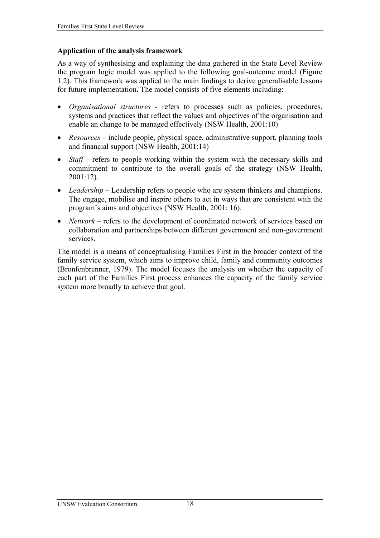#### **Application of the analysis framework**

As a way of synthesising and explaining the data gathered in the State Level Review the program logic model was applied to the following goal-outcome model (Figure 1.2). This framework was applied to the main findings to derive generalisable lessons for future implementation. The model consists of five elements including:

- *Organisational structures* refers to processes such as policies, procedures, systems and practices that reflect the values and objectives of the organisation and enable an change to be managed effectively (NSW Health, 2001:10)
- *Resources* include people, physical space, administrative support, planning tools and financial support (NSW Health, 2001:14)
- *Staff* refers to people working within the system with the necessary skills and commitment to contribute to the overall goals of the strategy (NSW Health, 2001:12).
- *Leadership* Leadership refers to people who are system thinkers and champions. The engage, mobilise and inspire others to act in ways that are consistent with the program's aims and objectives (NSW Health, 2001: 16).
- *Network* refers to the development of coordinated network of services based on collaboration and partnerships between different government and non-government services.

The model is a means of conceptualising Families First in the broader context of the family service system, which aims to improve child, family and community outcomes (Bronfenbrenner, 1979). The model focuses the analysis on whether the capacity of each part of the Families First process enhances the capacity of the family service system more broadly to achieve that goal.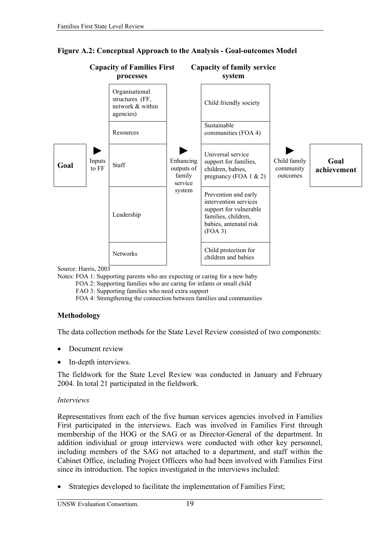

#### <span id="page-24-0"></span>**Figure A.2: Conceptual Approach to the Analysis - Goal-outcomes Model**

Source: Harris, 2003

Notes: FOA 1: Supporting parents who are expecting or caring for a new baby

FOA 2: Supporting families who are caring for infants or small child

FAO 3: Supporting families who need extra support

FOA 4: Strengthening the connection between families and communities

### **Methodology**

The data collection methods for the State Level Review consisted of two components:

- Document review
- In-depth interviews.

The fieldwork for the State Level Review was conducted in January and February 2004. In total 21 participated in the fieldwork.

### *Interviews*

Representatives from each of the five human services agencies involved in Families First participated in the interviews. Each was involved in Families First through membership of the HOG or the SAG or as Director-General of the department. In addition individual or group interviews were conducted with other key personnel, including members of the SAG not attached to a department, and staff within the Cabinet Office, including Project Officers who had been involved with Families First since its introduction. The topics investigated in the interviews included:

Strategies developed to facilitate the implementation of Families First;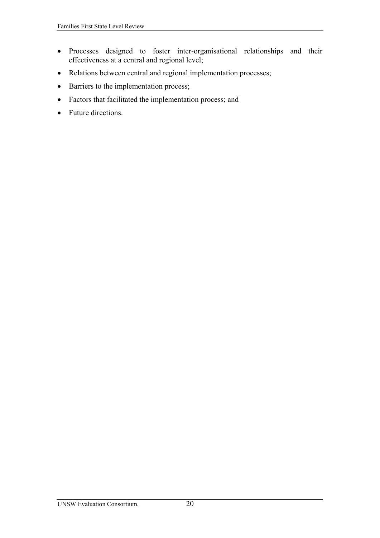- Processes designed to foster inter-organisational relationships and their effectiveness at a central and regional level;
- Relations between central and regional implementation processes;
- Barriers to the implementation process;
- Factors that facilitated the implementation process; and
- Future directions.